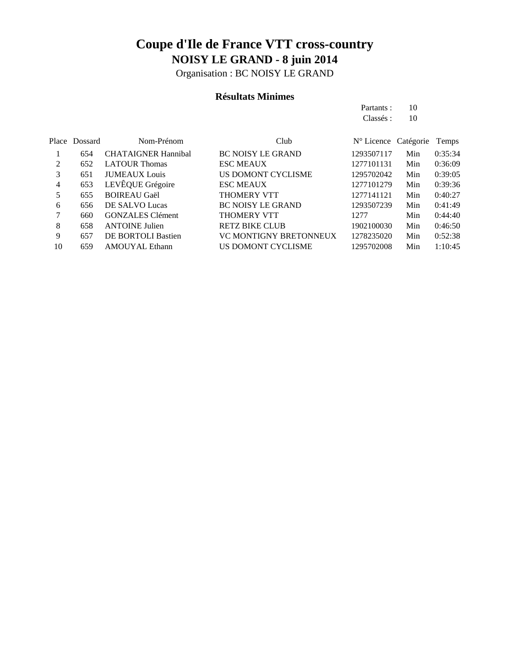Organisation : BC NOISY LE GRAND

### **Résultats Minimes**

Partants : 10 Classés: 10

|    | Place Dossard | Nom-Prénom                 | Club                          | $N^{\circ}$ Licence Catégorie |     | Temps   |
|----|---------------|----------------------------|-------------------------------|-------------------------------|-----|---------|
|    | 654           | <b>CHATAIGNER Hannibal</b> | <b>BC NOISY LE GRAND</b>      | 1293507117                    | Min | 0:35:34 |
| 2  | 652           | <b>LATOUR Thomas</b>       | <b>ESC MEAUX</b>              | 1277101131                    | Min | 0:36:09 |
| 3  | 651           | <b>JUMEAUX</b> Louis       | US DOMONT CYCLISME            | 1295702042                    | Min | 0:39:05 |
| 4  | 653           | LEVÊQUE Grégoire           | <b>ESC MEAUX</b>              | 1277101279                    | Min | 0:39:36 |
| 5  | 655           | <b>BOIREAU Gaël</b>        | <b>THOMERY VTT</b>            | 1277141121                    | Min | 0:40:27 |
| 6  | 656           | DE SALVO Lucas             | <b>BC NOISY LE GRAND</b>      | 1293507239                    | Min | 0:41:49 |
| 7  | 660           | <b>GONZALES</b> Clément    | <b>THOMERY VTT</b>            | 12.77                         | Min | 0:44:40 |
| 8  | 658           | <b>ANTOINE Julien</b>      | <b>RETZ BIKE CLUB</b>         | 1902100030                    | Min | 0:46:50 |
| 9  | 657           | <b>DE BORTOLI Bastien</b>  | <b>VC MONTIGNY BRETONNEUX</b> | 1278235020                    | Min | 0:52:38 |
| 10 | 659           | <b>AMOUYAL Ethann</b>      | US DOMONT CYCLISME            | 1295702008                    | Min | 1:10:45 |
|    |               |                            |                               |                               |     |         |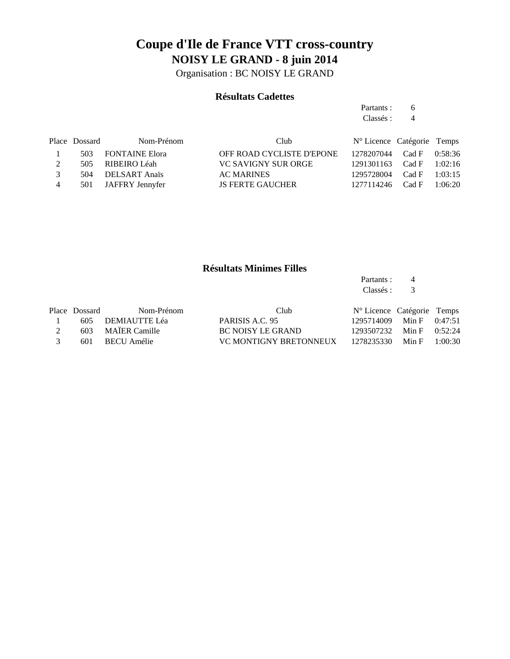Organisation : BC NOISY LE GRAND

#### **Résultats Cadettes**

Partants : 6 Classés : 4

|                | Place Dossard | Nom-Prénom         | Club                       | $N^{\circ}$ Licence Catégorie Temps |  |
|----------------|---------------|--------------------|----------------------------|-------------------------------------|--|
|                |               | 503 FONTAINE Elora | OFF ROAD CYCLISTE D'EPONE  | 1278207044 Cad F 0:58:36            |  |
|                |               | 505 RIBEIRO Léah   | <b>VC SAVIGNY SUR ORGE</b> | 1291301163 Cad F 1:02:16            |  |
| $\mathcal{R}$  | 504           | DELSART Anaïs      | <b>AC MARINES</b>          | $1295728004$ Cad F $1:03:15$        |  |
| $\overline{4}$ | 501           | JAFFRY Jennyfer    | <b>JS FERTE GAUCHER</b>    | 1277114246 Cad F 1:06:20            |  |

### **Résultats Minimes Filles**

Partants : 4<br>Classés : 3 Classés :

|               | Place Dossard | Nom-Prénom        | Club                   | N° Licence Catégorie Temps   |  |
|---------------|---------------|-------------------|------------------------|------------------------------|--|
|               |               | 605 DEMIAUTTE Léa | PARISIS A.C. 95        | 1295714009 Min F 0:47:51     |  |
|               |               | 603 MAÏER Camille | BC NOISY LE GRAND      | 1293507232 Min F 0:52:24     |  |
| $\mathcal{R}$ |               | 601 BECU Amélie   | VC MONTIGNY BRETONNEUX | $1278235330$ Min F $1:00:30$ |  |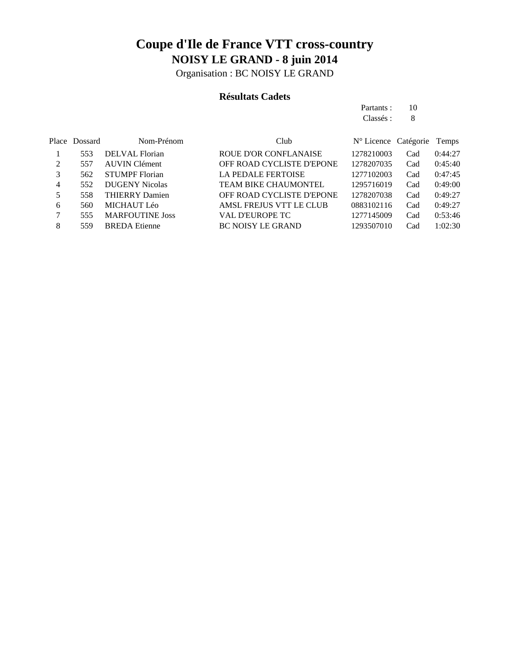Organisation : BC NOISY LE GRAND

### **Résultats Cadets**

Partants : 10 Classés : 8

|   | Place Dossard | Nom-Prénom             | Club                             | $N^{\circ}$ Licence Catégorie |     | Temps   |
|---|---------------|------------------------|----------------------------------|-------------------------------|-----|---------|
|   | 553           | DELVAL Florian         | <b>ROUE D'OR CONFLANAISE</b>     | 1278210003                    | Cad | 0:44:27 |
| 2 | 557           | <b>AUVIN</b> Clément   | OFF ROAD CYCLISTE D'EPONE        | 1278207035                    | Cad | 0:45:40 |
| 3 | 562           | <b>STUMPF Florian</b>  | <b>LA PEDALE FERTOISE</b>        | 1277102003                    | Cad | 0:47:45 |
| 4 | 552           | <b>DUGENY Nicolas</b>  | <b>TEAM BIKE CHAUMONTEL</b>      | 1295716019                    | Cad | 0:49:00 |
| 5 | 558           | <b>THIERRY Damien</b>  | <b>OFF ROAD CYCLISTE D'EPONE</b> | 1278207038                    | Cad | 0:49:27 |
| 6 | 560           | <b>MICHAUT Léo</b>     | AMSL FREJUS VTT LE CLUB          | 0883102116                    | Cad | 0:49:27 |
| 7 | 555           | <b>MARFOUTINE Joss</b> | <b>VAL D'EUROPE TC</b>           | 1277145009                    | Cad | 0:53:46 |
| 8 | 559           | <b>BREDA</b> Etienne   | <b>BC NOISY LE GRAND</b>         | 1293507010                    | Cad | 1:02:30 |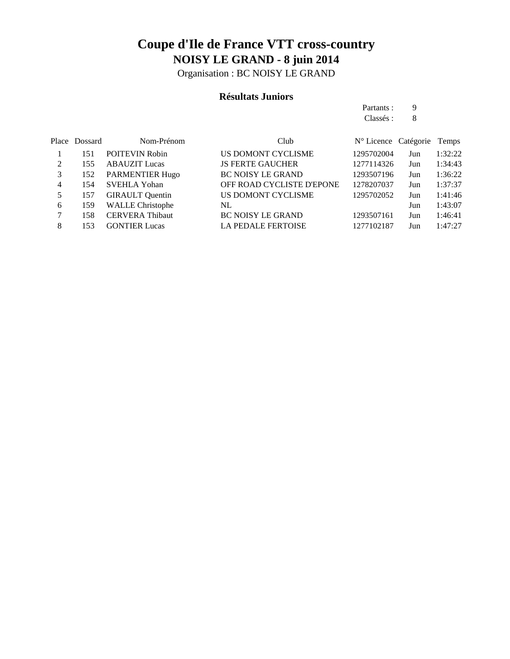Organisation : BC NOISY LE GRAND

### **Résultats Juniors**

Partants : 9 Classés : 8

|   | Place Dossard | Nom-Prénom              | Club                      | N° Licence Catégorie |     | Temps   |
|---|---------------|-------------------------|---------------------------|----------------------|-----|---------|
|   | 151           | <b>POITEVIN Robin</b>   | US DOMONT CYCLISME        | 1295702004           | Jun | 1:32:22 |
|   | 155           | <b>ABAUZIT</b> Lucas    | <b>JS FERTE GAUCHER</b>   | 1277114326           | Jun | 1:34:43 |
|   | 152           | <b>PARMENTIER Hugo</b>  | <b>BC NOISY LE GRAND</b>  | 1293507196           | Jun | 1:36:22 |
| 4 | 154           | <b>SVEHLA Yohan</b>     | OFF ROAD CYCLISTE D'EPONE | 1278207037           | Jun | 1:37:37 |
| 5 | 157           | <b>GIRAULT</b> Quentin  | US DOMONT CYCLISME        | 1295702052           | Jun | 1:41:46 |
| 6 | 159           | <b>WALLE Christophe</b> | NL                        |                      | Jun | 1:43:07 |
|   | 158           | <b>CERVERA Thibaut</b>  | <b>BC NOISY LE GRAND</b>  | 1293507161           | Jun | 1:46:41 |
| 8 | 153           | <b>GONTIER Lucas</b>    | <b>LA PEDALE FERTOISE</b> | 1277102187           | Jun | 1:47:27 |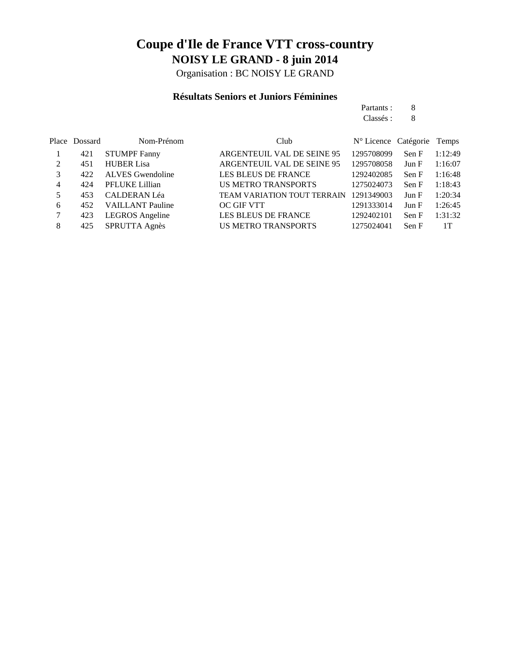Organisation : BC NOISY LE GRAND

### **Résultats Seniors et Juniors Féminines**

|   |               |                     |                                    | Partants :                 | 8     |         |
|---|---------------|---------------------|------------------------------------|----------------------------|-------|---------|
|   |               |                     |                                    | Classés :                  | 8     |         |
|   | Place Dossard | Nom-Prénom          | Club                               | N° Licence Catégorie Temps |       |         |
|   | 421           | <b>STUMPF Fanny</b> | ARGENTEUIL VAL DE SEINE 95         | 1295708099                 | Sen F | 1:12:49 |
| 2 | 451           | <b>HUBER Lisa</b>   | ARGENTEUIL VAL DE SEINE 95         | 1295708058                 | Jun F | 1:16:07 |
| 3 | 422           | ALVES Gwendoline    | LES BLEUS DE FRANCE                | 1292402085                 | Sen F | 1:16:48 |
| 4 | 424           | PFLUKE Lillian      | <b>US METRO TRANSPORTS</b>         | 1275024073                 | Sen F | 1:18:43 |
|   | 453           | <b>CALDERAN Léa</b> | <b>TEAM VARIATION TOUT TERRAIN</b> | 1291349003                 | Jun F | 1:20:34 |

| $\overline{a}$ | $\tau_{\rm 55}$ CALIFERATIVE CA | TEAM VANIATION TOOT IENNAILY T271347003 - JUILE - 1.20.34 |                          |       |
|----------------|---------------------------------|-----------------------------------------------------------|--------------------------|-------|
| 6              | 452 VAILLANT Pauline            | OC GIF VTT                                                | 1291333014 Jun F 1:26:45 |       |
|                | 423 LEGROS Angeline             | LES BLEUS DE FRANCE                                       | 1292402101 Sen F 1:31:32 |       |
|                | 425 SPRUTTA Agnès               | US METRO TRANSPORTS                                       | 1275024041 Sen F         | $-1T$ |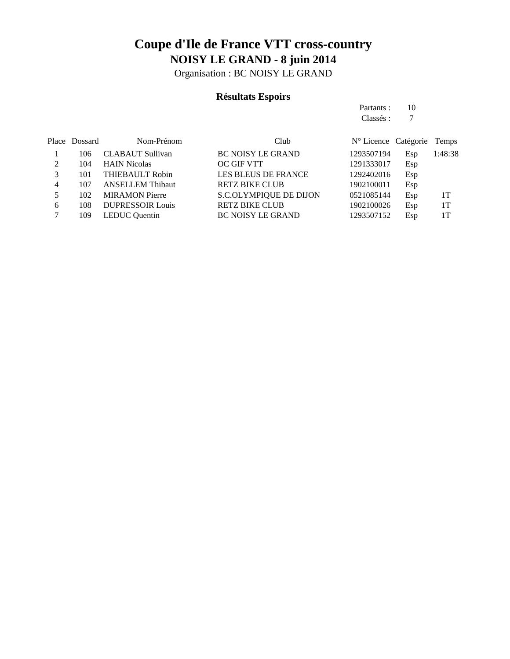Organisation : BC NOISY LE GRAND

## **Résultats Espoirs**

|   |               |                         |                               | Partants :                    | 10  |         |
|---|---------------|-------------------------|-------------------------------|-------------------------------|-----|---------|
|   |               |                         |                               | Classés :                     | 7   |         |
|   | Place Dossard | Nom-Prénom              | Club                          | $N^{\circ}$ Licence Catégorie |     | Temps   |
|   | 106           | <b>CLABAUT Sullivan</b> | <b>BC NOISY LE GRAND</b>      | 1293507194                    | Esp | 1:48:38 |
| 2 | 104           | <b>HAIN Nicolas</b>     | OC GIF VTT                    | 1291333017                    | Esp |         |
| 3 | 101           | THIEBAULT Robin         | <b>LES BLEUS DE FRANCE</b>    | 1292402016                    | Esp |         |
| 4 | 107           | <b>ANSELLEM Thibaut</b> | <b>RETZ BIKE CLUB</b>         | 1902100011                    | Esp |         |
| 5 | 102           | <b>MIRAMON Pierre</b>   | <b>S.C.OLYMPIQUE DE DIJON</b> | 0521085144                    | Esp | 1T      |
| 6 | 108           | <b>DUPRESSOIR Louis</b> | <b>RETZ BIKE CLUB</b>         | 1902100026                    | Esp | 1T      |
| 7 | 109           | <b>LEDUC</b> Quentin    | <b>BC NOISY LE GRAND</b>      | 1293507152                    | Esp | 1T      |
|   |               |                         |                               |                               |     |         |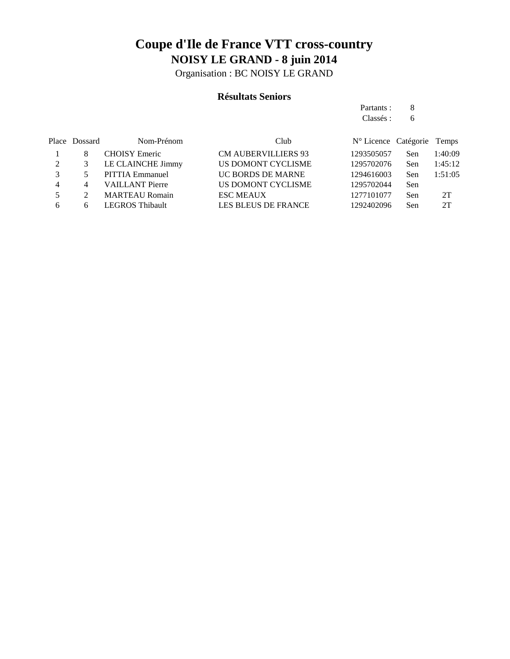Organisation : BC NOISY LE GRAND

### **Résultats Seniors**

Partants : 8 Classés : 6

|   | Place Dossard | Nom-Prénom             | Club                       | N° Licence Catégorie Temps |            |         |
|---|---------------|------------------------|----------------------------|----------------------------|------------|---------|
|   | 8             | <b>CHOISY</b> Emeric   | <b>CM AUBERVILLIERS 93</b> | 1293505057                 | Sen        | 1:40:09 |
| 2 |               | LE CLAINCHE Jimmy      | US DOMONT CYCLISME         | 1295702076                 | <b>Sen</b> | 1:45:12 |
|   |               | PITTIA Emmanuel        | UC BORDS DE MARNE          | 1294616003                 | Sen        | 1:51:05 |
| 4 | 4             | <b>VAILLANT Pierre</b> | US DOMONT CYCLISME         | 1295702044                 | Sen        |         |
|   |               | <b>MARTEAU Romain</b>  | <b>ESC MEAUX</b>           | 1277101077                 | Sen        | 2T      |
| 6 | 6             | <b>LEGROS Thibault</b> | <b>LES BLEUS DE FRANCE</b> | 1292402096                 | Sen        | 2T      |
|   |               |                        |                            |                            |            |         |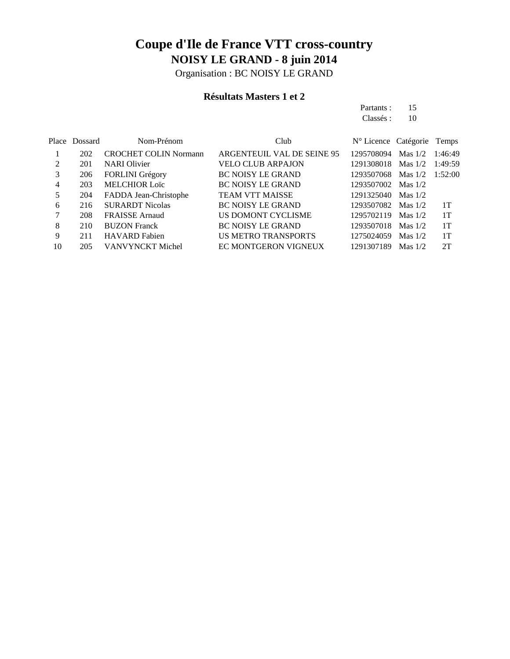Organisation : BC NOISY LE GRAND

### **Résultats Masters 1 et 2**

Partants : 15 Classés : 10

|    | Place Dossard | Nom-Prénom                   | Club                       | N° Licence Catégorie Temps |           |         |
|----|---------------|------------------------------|----------------------------|----------------------------|-----------|---------|
|    | 202           | <b>CROCHET COLIN Normann</b> | ARGENTEUIL VAL DE SEINE 95 | 1295708094                 | Mas $1/2$ | 1:46:49 |
| 2  | 201           | <b>NARI</b> Olivier          | <b>VELO CLUB ARPAJON</b>   | 1291308018                 | Mas $1/2$ | 1:49:59 |
| 3  | 206           | <b>FORLINI</b> Grégory       | <b>BC NOISY LE GRAND</b>   | 1293507068                 | Mas $1/2$ | 1:52:00 |
| 4  | 203           | <b>MELCHIOR Loïc</b>         | <b>BC NOISY LE GRAND</b>   | 1293507002                 | Mas $1/2$ |         |
| 5  | 204           | FADDA Jean-Christophe        | <b>TEAM VTT MAISSE</b>     | 1291325040                 | Mas $1/2$ |         |
| 6  | 216           | <b>SURARDT Nicolas</b>       | <b>BC NOISY LE GRAND</b>   | 1293507082                 | Mas $1/2$ | 1T      |
| 7  | 208           | <b>FRAISSE Arnaud</b>        | US DOMONT CYCLISME         | 1295702119                 | Mas $1/2$ | 1T      |
| 8  | 210           | <b>BUZON Franck</b>          | <b>BC NOISY LE GRAND</b>   | 1293507018                 | Mas $1/2$ | 1T      |
| 9  | 211           | <b>HAVARD</b> Fabien         | US METRO TRANSPORTS        | 1275024059                 | Mas $1/2$ | 1T      |
| 10 | 205           | VANVYNCKT Michel             | EC MONTGERON VIGNEUX       | 1291307189                 | Mas $1/2$ | 2T      |
|    |               |                              |                            |                            |           |         |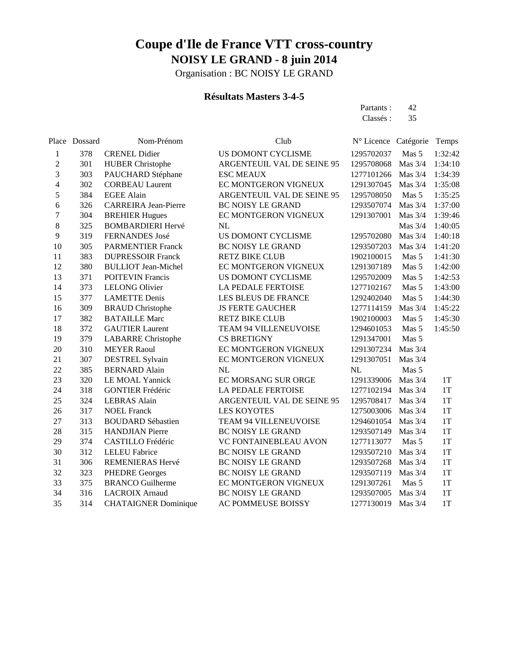Organisation : BC NOISY LE GRAND

### **Résultats Masters 3-4-5**

Partants : 42 Classés : 35

|                | Place Dossard | Nom-Prénom                  | Club                       | Nº Licence Catégorie |           | Temps         |
|----------------|---------------|-----------------------------|----------------------------|----------------------|-----------|---------------|
| 1              | 378           | <b>CRENEL Didier</b>        | US DOMONT CYCLISME         | 1295702037           | Mas 5     | 1:32:42       |
| $\overline{c}$ | 301           | <b>HUBER Christophe</b>     | ARGENTEUIL VAL DE SEINE 95 | 1295708068           | Mas 3/4   | 1:34:10       |
| 3              | 303           | PAUCHARD Stéphane           | <b>ESC MEAUX</b>           | 1277101266           | Mas 3/4   | 1:34:39       |
| 4              | 302           | <b>CORBEAU Laurent</b>      | EC MONTGERON VIGNEUX       | 1291307045           | Mas $3/4$ | 1:35:08       |
| 5              | 384           | <b>EGEE Alain</b>           | ARGENTEUIL VAL DE SEINE 95 | 1295708050           | Mas 5     | 1:35:25       |
| 6              | 326           | <b>CARREIRA</b> Jean-Pierre | <b>BC NOISY LE GRAND</b>   | 1293507074           | Mas 3/4   | 1:37:00       |
| $\overline{7}$ | 304           | <b>BREHIER Hugues</b>       | EC MONTGERON VIGNEUX       | 1291307001           | Mas 3/4   | 1:39:46       |
| 8              | 325           | <b>BOMBARDIERI Hervé</b>    | NL                         |                      | Mas 3/4   | 1:40:05       |
| 9              | 319           | FERNANDES José              | US DOMONT CYCLISME         | 1295702080           | Mas 3/4   | 1:40:18       |
| 10             | 305           | <b>PARMENTIER Franck</b>    | <b>BC NOISY LE GRAND</b>   | 1293507203           | Mas 3/4   | 1:41:20       |
| 11             | 383           | <b>DUPRESSOIR Franck</b>    | <b>RETZ BIKE CLUB</b>      | 1902100015           | Mas 5     | 1:41:30       |
| 12             | 380           | <b>BULLIOT</b> Jean-Michel  | EC MONTGERON VIGNEUX       | 1291307189           | Mas 5     | 1:42:00       |
| 13             | 371           | <b>POITEVIN Francis</b>     | US DOMONT CYCLISME         | 1295702009           | Mas 5     | 1:42:53       |
| 14             | 373           | <b>LELONG Olivier</b>       | LA PEDALE FERTOISE         | 1277102167           | Mas 5     | 1:43:00       |
| 15             | 377           | <b>LAMETTE Denis</b>        | LES BLEUS DE FRANCE        | 1292402040           | Mas 5     | 1:44:30       |
| 16             | 309           | <b>BRAUD</b> Christophe     | <b>JS FERTE GAUCHER</b>    | 1277114159           | Mas $3/4$ | 1:45:22       |
| 17             | 382           | <b>BATAILLE Marc</b>        | <b>RETZ BIKE CLUB</b>      | 1902100003           | Mas 5     | 1:45:30       |
| 18             | 372           | <b>GAUTIER Laurent</b>      | TEAM 94 VILLENEUVOISE      | 1294601053           | Mas 5     | 1:45:50       |
| 19             | 379           | <b>LABARRE</b> Christophe   | <b>CS BRETIGNY</b>         | 1291347001           | Mas 5     |               |
| 20             | 310           | <b>MEYER Raoul</b>          | EC MONTGERON VIGNEUX       | 1291307234           | Mas $3/4$ |               |
| 21             | 307           | <b>DESTREL Sylvain</b>      | EC MONTGERON VIGNEUX       | 1291307051           | Mas 3/4   |               |
| 22             | 385           | <b>BERNARD Alain</b>        | <b>NL</b>                  | <b>NL</b>            | Mas 5     |               |
| 23             | 320           | LE MOAL Yannick             | EC MORSANG SUR ORGE        | 1291339006           | Mas 3/4   | 1T            |
| 24             | 318           | <b>GONTIER Frédéric</b>     | LA PEDALE FERTOISE         | 1277102194           | Mas 3/4   | 1T            |
| 25             | 324           | <b>LEBRAS</b> Alain         | ARGENTEUIL VAL DE SEINE 95 | 1295708417           | Mas $3/4$ | 1T            |
| 26             | 317           | <b>NOEL Franck</b>          | <b>LES KOYOTES</b>         | 1275003006           | Mas 3/4   | 1T            |
| 27             | 313           | <b>BOUDARD Sébastien</b>    | TEAM 94 VILLENEUVOISE      | 1294601054           | Mas 3/4   | 1T            |
| 28             | 315           | <b>HANDJIAN</b> Pierre      | BC NOISY LE GRAND          | 1293507149           | Mas $3/4$ | 1T            |
| 29             | 374           | CASTILLO Frédéric           | VC FONTAINEBLEAU AVON      | 1277113077           | Mas 5     | 1T            |
| 30             | 312           | <b>LELEU</b> Fabrice        | <b>BC NOISY LE GRAND</b>   | 1293507210           | Mas $3/4$ | 1T            |
| 31             | 306           | REMENIERAS Hervé            | <b>BC NOISY LE GRAND</b>   | 1293507268           | Mas 3/4   | 1T            |
| 32             | 323           | <b>PHEDRE Georges</b>       | <b>BC NOISY LE GRAND</b>   | 1293507119           | Mas $3/4$ | 1T            |
| 33             | 375           | <b>BRANCO</b> Guilherme     | EC MONTGERON VIGNEUX       | 1291307261           | Mas 5     | 1T            |
| 34             | 316           | <b>LACROIX Arnaud</b>       | <b>BC NOISY LE GRAND</b>   | 1293507005           | Mas 3/4   | $1\mathrm{T}$ |
| 35             | 314           | <b>CHATAIGNER Dominique</b> | AC POMMEUSE BOISSY         | 1277130019           | Mas 3/4   | 1T            |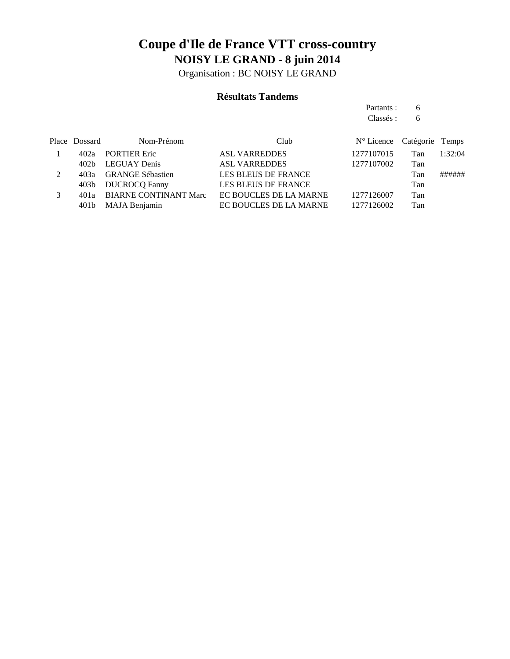Organisation : BC NOISY LE GRAND

### **Résultats Tandems**

Partants : 6 Classés : 6

|               | Place Dossard | Nom-Prénom                   | Club                   | N° Licence Catégorie Temps |     |         |
|---------------|---------------|------------------------------|------------------------|----------------------------|-----|---------|
|               | 402а          | <b>PORTIER Eric</b>          | <b>ASL VARREDDES</b>   | 1277107015                 | Tan | 1:32:04 |
|               | 402b          | LEGUAY Denis                 | <b>ASL VARREDDES</b>   | 1277107002                 | Tan |         |
| $\mathcal{L}$ | 40За          | <b>GRANGE Sébastien</b>      | LES BLEUS DE FRANCE    |                            | Tan | ######  |
|               | 403b          | <b>DUCROCQ Fanny</b>         | LES BLEUS DE FRANCE    |                            | Tan |         |
| 3             | 401a          | <b>BIARNE CONTINANT Marc</b> | EC BOUCLES DE LA MARNE | 1277126007                 | Tan |         |
|               | 401b          | MAJA Benjamin                | EC BOUCLES DE LA MARNE | 1277126002                 | Tan |         |